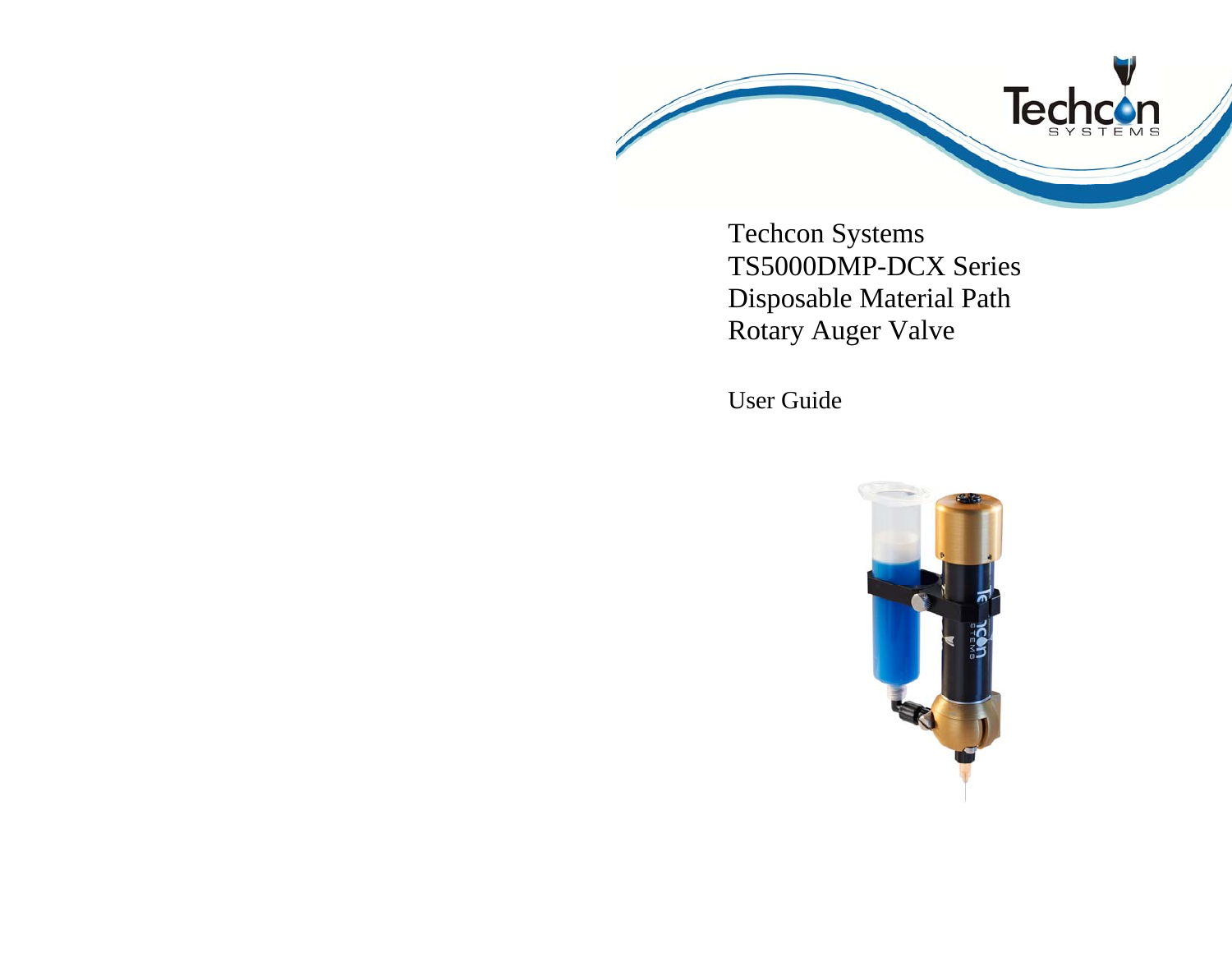

Techcon Systems TS5000DMP-DCX Series Disposable Material Path Rotary Auger Valve

User Guide

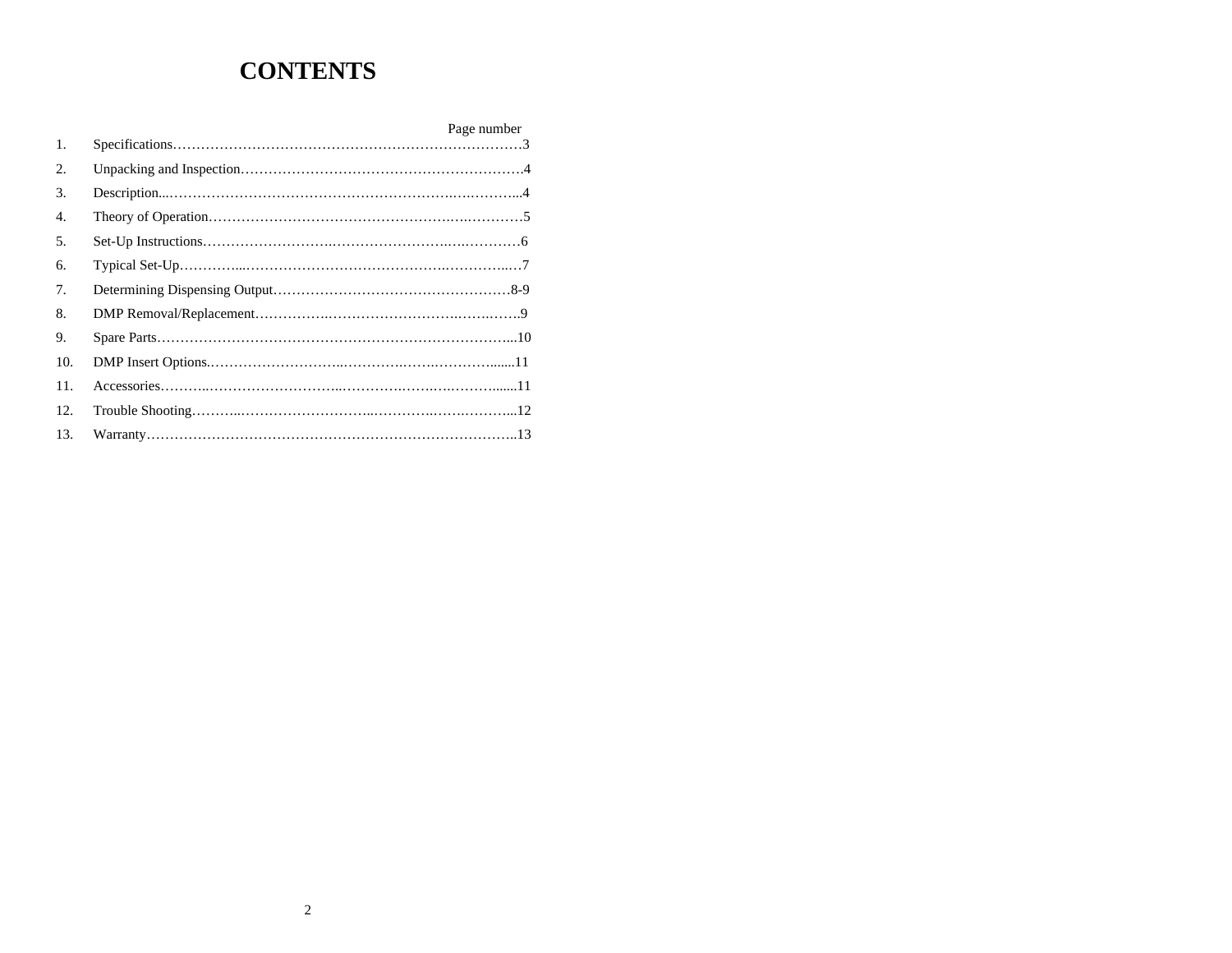# **CONTENTS**

|     | Page number |  |
|-----|-------------|--|
| 1.  |             |  |
| 2.  |             |  |
| 3.  |             |  |
| 4.  |             |  |
| 5.  |             |  |
| 6.  |             |  |
| 7.  |             |  |
| 8.  |             |  |
| 9.  |             |  |
| 10. |             |  |
| 11. |             |  |
| 12. |             |  |
| 13. |             |  |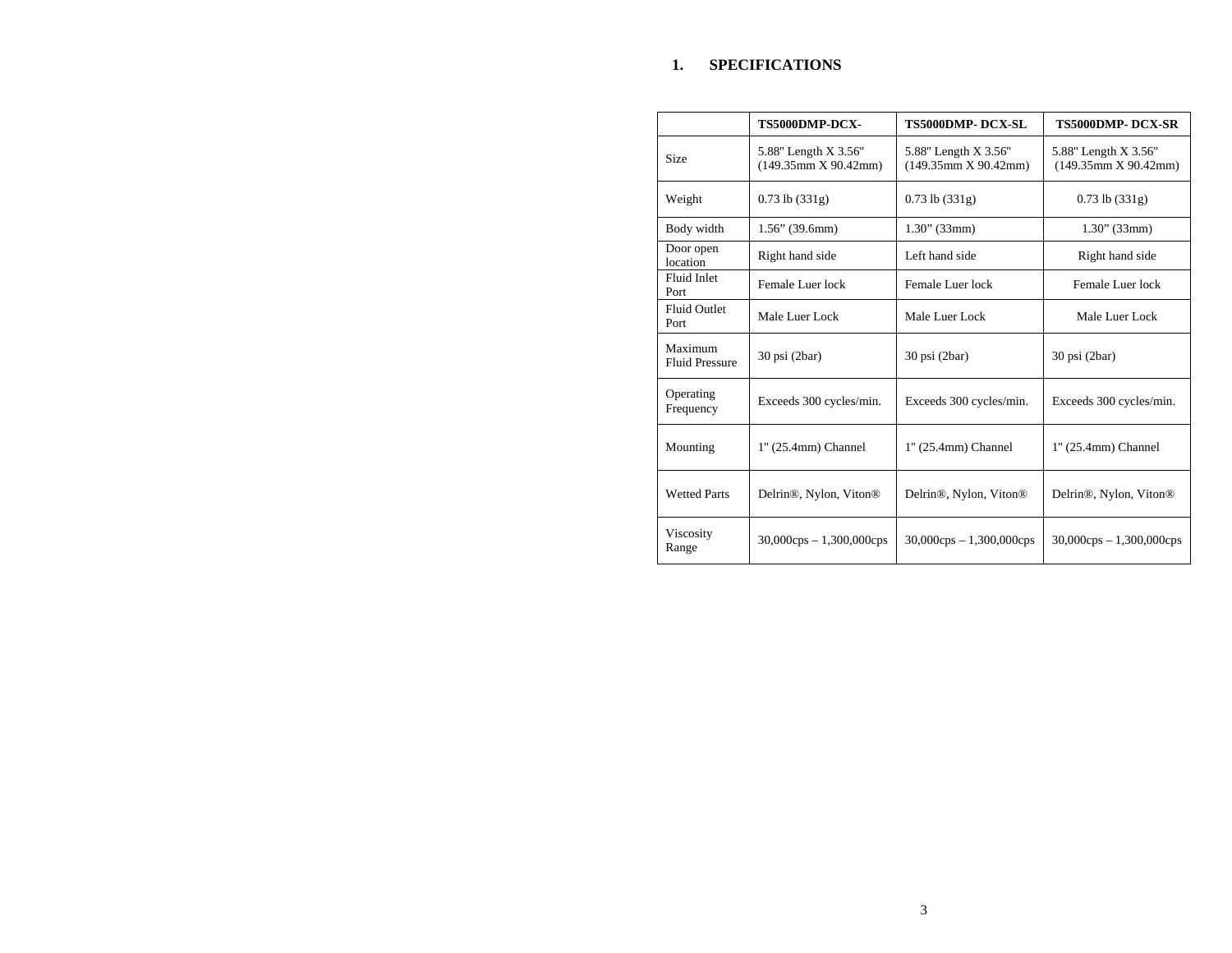### **1. SPECIFICATIONS**

|                                  | TS5000DMP-DCX-                                  | <b>TS5000DMP-DCX-SL</b>                         | <b>TS5000DMP- DCX-SR</b>                        |
|----------------------------------|-------------------------------------------------|-------------------------------------------------|-------------------------------------------------|
| <b>Size</b>                      | 5.88" Length X 3.56"<br>$(149.35$ mm X 90.42mm) | 5.88" Length X 3.56"<br>$(149.35$ mm X 90.42mm) | 5.88" Length X 3.56"<br>$(149.35$ mm X 90.42mm) |
| Weight                           | $0.73$ lb $(331g)$                              | $0.73$ lb $(331g)$                              | $0.73$ lb $(331g)$                              |
| Body width                       | $1.56$ " (39.6mm)                               | $1.30$ " (33mm)                                 | $1.30$ " (33mm)                                 |
| Door open<br>location            | Right hand side                                 | Left hand side                                  | Right hand side                                 |
| Fluid Inlet<br>Port              | Female Luer lock                                | Female Luer lock                                | Female Luer lock                                |
| <b>Fluid Outlet</b><br>Port      | Male Luer Lock                                  | Male Luer Lock                                  | Male Luer Lock                                  |
| Maximum<br><b>Fluid Pressure</b> | 30 psi (2bar)                                   | 30 psi (2bar)                                   | $30$ psi $(2bar)$                               |
| Operating<br>Frequency           | Exceeds 300 cycles/min.                         | Exceeds 300 cycles/min.                         | Exceeds 300 cycles/min.                         |
| Mounting                         | 1" (25.4mm) Channel                             | 1" (25.4mm) Channel                             | 1" (25.4mm) Channel                             |
| <b>Wetted Parts</b>              | Delrin <sup>®</sup> , Nylon, Viton <sup>®</sup> | Delrin <sup>®</sup> , Nylon, Viton <sup>®</sup> | Delrin <sup>®</sup> , Nylon, Viton <sup>®</sup> |
| Viscosity<br>Range               | $30,000 \text{cps} - 1,300,000 \text{cps}$      | $30,000 \text{cps} - 1,300,000 \text{cps}$      | $30,000 \text{cps} - 1,300,000 \text{cps}$      |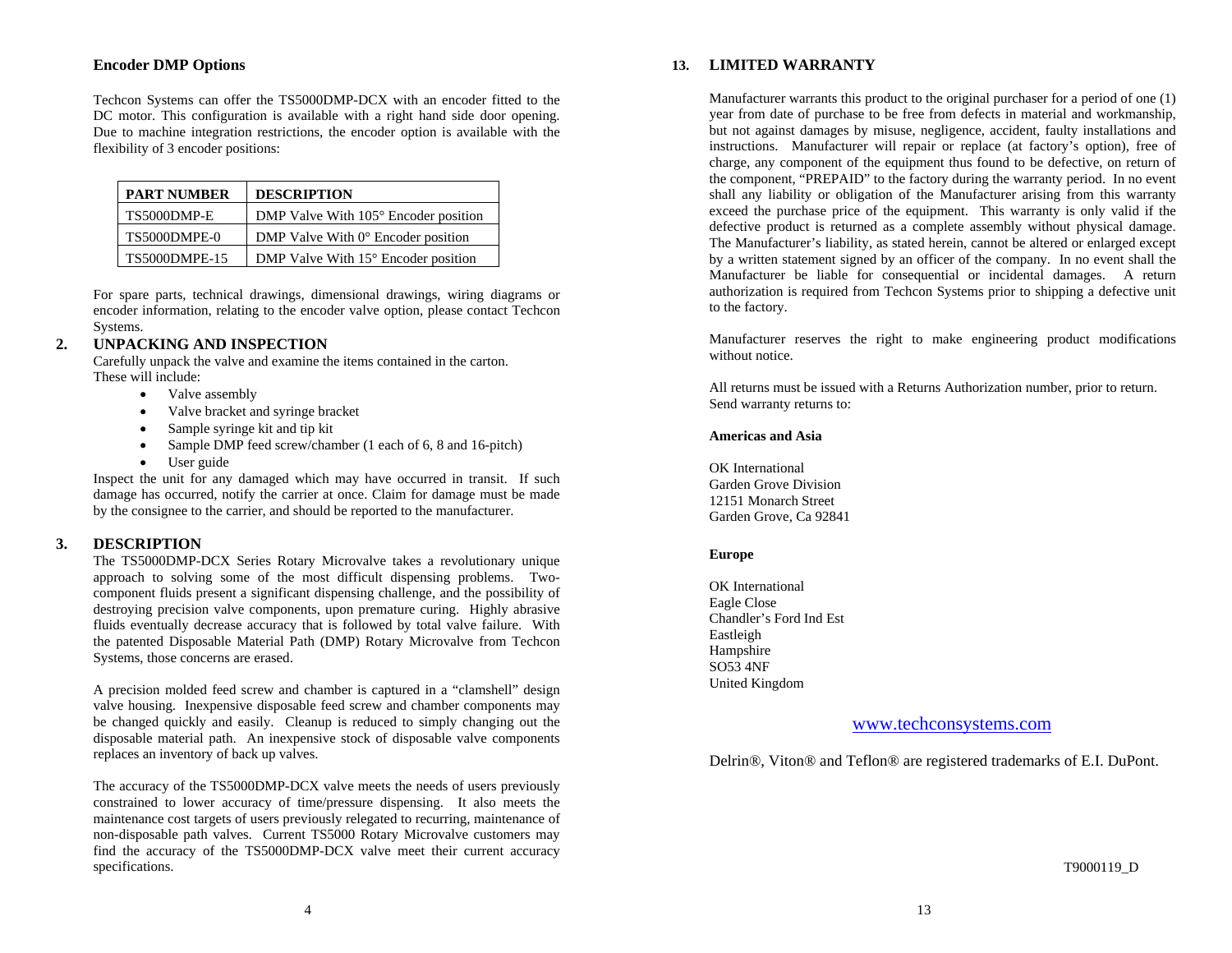# **Encoder DMP Options**

Techcon Systems can offer the TS5000DMP-DCX with an encoder fitted to the DC motor. This configuration is available with a right hand side door opening. Due to machine integration restrictions, the encoder option is available with the flexibility of 3 encoder positions:

| <b>PART NUMBER</b>  | <b>DESCRIPTION</b>                          |
|---------------------|---------------------------------------------|
| TS5000DMP-E         | DMP Valve With 105° Encoder position        |
| <b>TS5000DMPE-0</b> | DMP Valve With $0^{\circ}$ Encoder position |
| TS5000DMPE-15       | DMP Valve With 15° Encoder position         |

For spare parts, technical drawings, dimensional drawings, wiring diagrams or encoder information, relating to the encoder valve option, please contact Techcon Systems.

#### **2.UNPACKING AND INSPECTION**

Carefully unpack the valve and examine the items contained in the carton. These will include:

- $\bullet$ Valve assembly
- $\bullet$ Valve bracket and syringe bracket
- $\bullet$ Sample syringe kit and tip kit
- $\bullet$ Sample DMP feed screw/chamber (1 each of 6, 8 and 16-pitch)
- $\bullet$ User guide

Inspect the unit for any damaged which may have occurred in transit. If such damage has occurred, notify the carrier at once. Claim for damage must be made by the consignee to the carrier, and should be reported to the manufacturer.

#### **3.DESCRIPTION**

The TS5000DMP-DCX Series Rotary Microvalve takes a revolutionary unique approach to solving some of the most difficult dispensing problems. Twocomponent fluids present a significant dispensing challenge, and the possibility of destroying precision valve components, upon premature curing. Highly abrasive fluids eventually decrease accuracy that is followed by total valve failure. With the patented Disposable Material Path (DMP) Rotary Microvalve from Techcon Systems, those concerns are erased.

A precision molded feed screw and chamber is captured in a "clamshell" design valve housing. Inexpensive disposable feed screw and chamber components may be changed quickly and easily. Cleanup is reduced to simply changing out the disposable material path. An inexpensive stock of disposable valve components replaces an inventory of back up valves.

The accuracy of the TS5000DMP-DCX valve meets the needs of users previously constrained to lower accuracy of time/pressure dispensing. It also meets the maintenance cost targets of users previously relegated to recurring, maintenance of non-disposable path valves. Current TS5000 Rotary Microvalve customers may find the accuracy of the TS5000DMP-DCX valve meet their current accuracy specifications.

### **13. LIMITED WARRANTY**

Manufacturer warrants this product to the original purchaser for a period of one (1) year from date of purchase to be free from defects in material and workmanship, but not against damages by misuse, negligence, accident, faulty installations and instructions. Manufacturer will repair or replace (at factory's option), free of charge, any component of the equipment thus found to be defective, on return of the component, "PREPAID" to the factory during the warranty period. In no event shall any liability or obligation of the Manufacturer arising from this warranty exceed the purchase price of the equipment. This warranty is only valid if the defective product is returned as a complete assembly without physical damage. The Manufacturer's liability, as stated herein, cannot be altered or enlarged except by a written statement signed by an officer of the company. In no event shall the Manufacturer be liable for consequential or incidental damages. A return authorization is required from Techcon Systems prior to shipping a defective unit to the factory.

Manufacturer reserves the right to make engineering product modifications without notice.

All returns must be issued with a Returns Authorization number, prior to return. Send warranty returns to:

### **Americas and Asia**

OK International Garden Grove Division 12151 Monarch Street Garden Grove, Ca 92841

#### **Europe**

OK International Eagle Close Chandler's Ford Ind Est Eastleigh Hampshire SO53 4NF United Kingdom

# www.techconsystems.com

Delrin®, Viton® and Teflon® are registered trademarks of E.I. DuPont.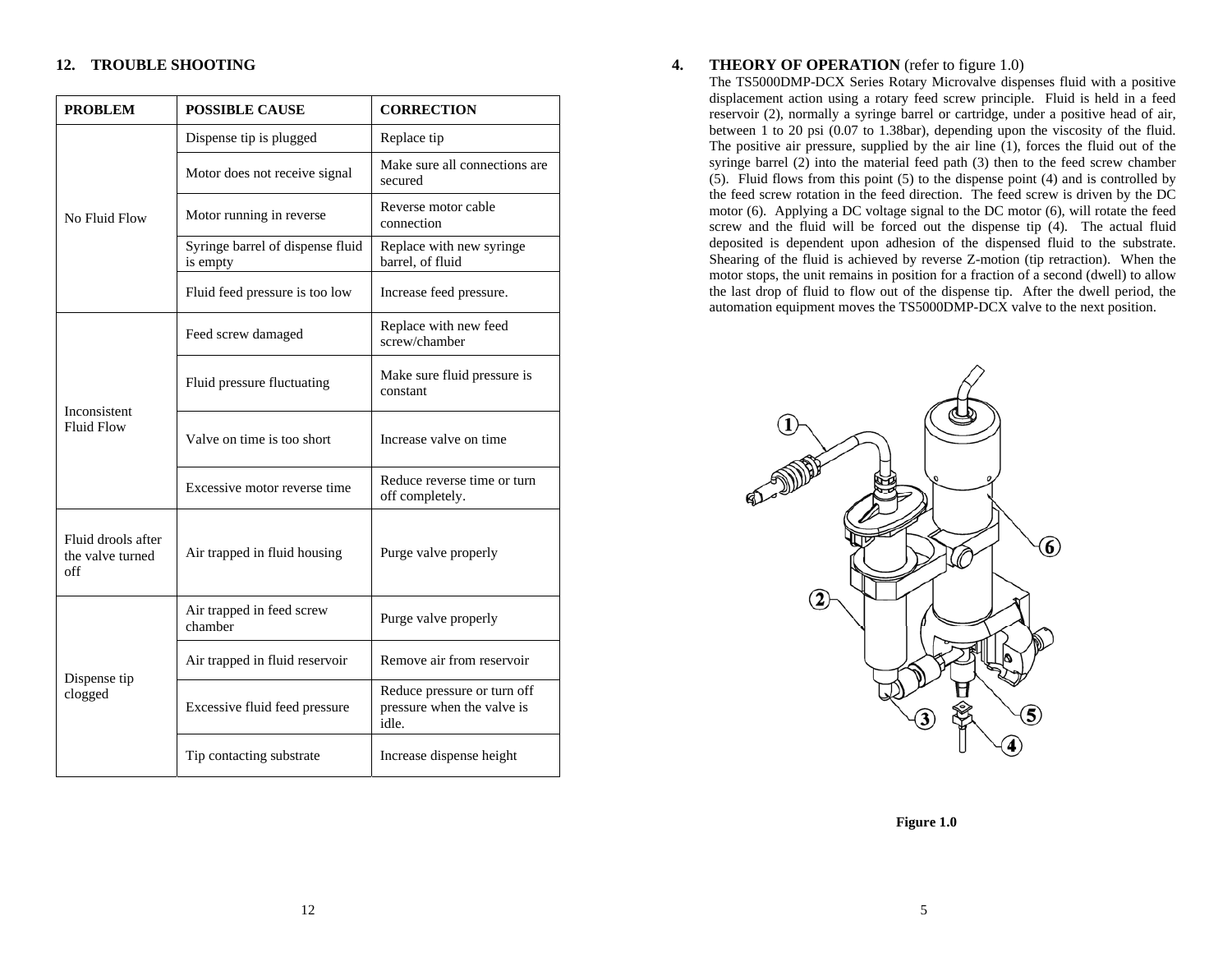# **12. TROUBLE SHOOTING**

| <b>PROBLEM</b>                                | <b>POSSIBLE CAUSE</b>                        | <b>CORRECTION</b>                                                  |  |
|-----------------------------------------------|----------------------------------------------|--------------------------------------------------------------------|--|
|                                               | Dispense tip is plugged                      | Replace tip                                                        |  |
|                                               | Motor does not receive signal                | Make sure all connections are<br>secured                           |  |
| No Fluid Flow                                 | Motor running in reverse                     | Reverse motor cable<br>connection                                  |  |
|                                               | Syringe barrel of dispense fluid<br>is empty | Replace with new syringe<br>barrel, of fluid                       |  |
|                                               | Fluid feed pressure is too low               | Increase feed pressure.                                            |  |
|                                               | Feed screw damaged                           | Replace with new feed<br>screw/chamber                             |  |
| Inconsistent                                  | Fluid pressure fluctuating                   | Make sure fluid pressure is<br>constant                            |  |
| <b>Fluid Flow</b>                             | Valve on time is too short                   | Increase valve on time                                             |  |
|                                               | Excessive motor reverse time                 | Reduce reverse time or turn<br>off completely.                     |  |
| Fluid drools after<br>the valve turned<br>off | Air trapped in fluid housing                 | Purge valve properly                                               |  |
|                                               | Air trapped in feed screw<br>chamber         | Purge valve properly                                               |  |
| Dispense tip                                  | Air trapped in fluid reservoir               | Remove air from reservoir                                          |  |
| clogged                                       | Excessive fluid feed pressure                | Reduce pressure or turn off<br>pressure when the valve is<br>idle. |  |
|                                               | Tip contacting substrate                     | Increase dispense height                                           |  |

#### **4.THEORY OF OPERATION** (refer to figure 1.0)

The TS5000DMP-DCX Series Rotary Microvalve dispenses fluid with a positive displacement action using a rotary feed screw principle. Fluid is held in a feed reservoir (2), normally a syringe barrel or cartridge, under a positive head of air, between 1 to 20 psi (0.07 to 1.38bar), depending upon the viscosity of the fluid. The positive air pressure, supplied by the air line (1), forces the fluid out of the syringe barrel (2) into the material feed path (3) then to the feed screw chamber (5). Fluid flows from this point (5) to the dispense point (4) and is controlled by the feed screw rotation in the feed direction. The feed screw is driven by the DC motor (6). Applying a DC voltage signal to the DC motor (6), will rotate the feed screw and the fluid will be forced out the dispense tip (4). The actual fluid deposited is dependent upon adhesion of the dispensed fluid to the substrate. Shearing of the fluid is achieved by reverse Z-motion (tip retraction). When the motor stops, the unit remains in position for a fraction of a second (dwell) to allow the last drop of fluid to flow out of the dispense tip. After the dwell period, the automation equipment moves the TS5000DMP-DCX valve to the next position.



**Figure 1.0**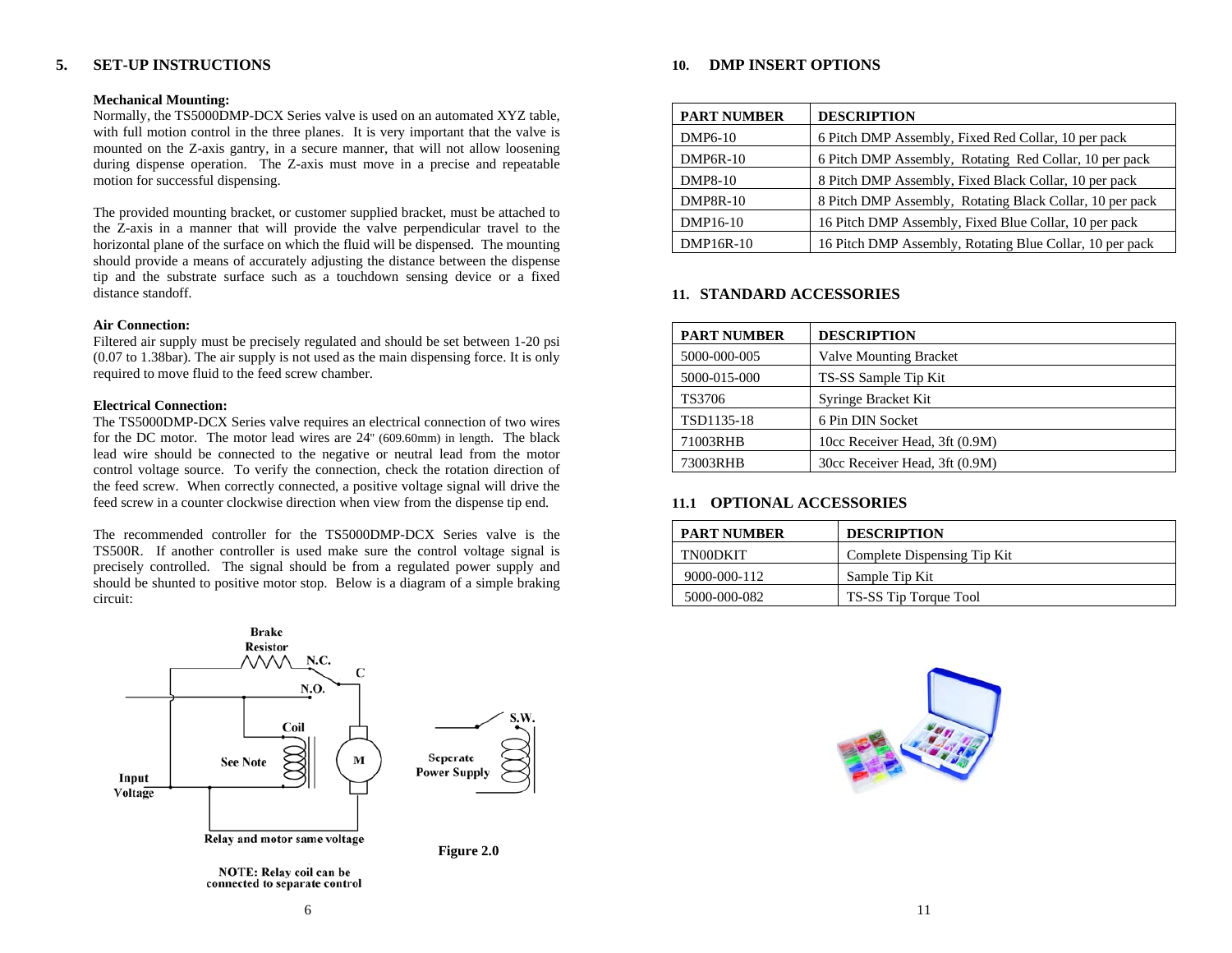#### **5.SET-UP INSTRUCTIONS**

### **Mechanical Mounting:**

Normally, the TS5000DMP-DCX Series valve is used on an automated XYZ table, with full motion control in the three planes. It is very important that the valve is mounted on the Z-axis gantry, in a secure manner, that will not allow loosening during dispense operation. The Z-axis must move in a precise and repeatable motion for successful dispensing.

The provided mounting bracket, or customer supplied bracket, must be attached to the Z-axis in a manner that will provide the valve perpendicular travel to the horizontal plane of the surface on which the fluid will be dispensed. The mounting should provide a means of accurately adjusting the distance between the dispense tip and the substrate surface such as a touchdown sensing device or a fixed distance standoff.

### **Air Connection:**

Filtered air supply must be precisely regulated and should be set between 1-20 psi (0.07 to 1.38bar). The air supply is not used as the main dispensing force. It is only required to move fluid to the feed screw chamber.

#### **Electrical Connection:**

The TS5000DMP-DCX Series valve requires an electrical connection of two wires for the DC motor. The motor lead wires are 24'' (609.60mm) in length. The black lead wire should be connected to the negative or neutral lead from the motor control voltage source. To verify the connection, check the rotation direction of the feed screw. When correctly connected, a positive voltage signal will drive the feed screw in a counter clockwise direction when view from the dispense tip end.

The recommended controller for the TS5000DMP-DCX Series valve is the TS500R. If another controller is used make sure the control voltage signal is precisely controlled. The signal should be from a regulated power supply and should be shunted to positive motor stop. Below is a diagram of a simple braking circuit:



NOTE: Relay coil can be connected to separate control



| <b>PART NUMBER</b> | <b>DESCRIPTION</b>                                       |
|--------------------|----------------------------------------------------------|
| DMP6-10            | 6 Pitch DMP Assembly, Fixed Red Collar, 10 per pack      |
| $DMP6R-10$         | 6 Pitch DMP Assembly, Rotating Red Collar, 10 per pack   |
| <b>DMP8-10</b>     | 8 Pitch DMP Assembly, Fixed Black Collar, 10 per pack    |
| <b>DMP8R-10</b>    | 8 Pitch DMP Assembly, Rotating Black Collar, 10 per pack |
| DMP16-10           | 16 Pitch DMP Assembly, Fixed Blue Collar, 10 per pack    |
| DMP16R-10          | 16 Pitch DMP Assembly, Rotating Blue Collar, 10 per pack |

# **11. STANDARD ACCESSORIES**

| <b>PART NUMBER</b> | <b>DESCRIPTION</b>             |
|--------------------|--------------------------------|
| 5000-000-005       | <b>Valve Mounting Bracket</b>  |
| 5000-015-000       | TS-SS Sample Tip Kit           |
| TS3706             | Syringe Bracket Kit            |
| TSD1135-18         | 6 Pin DIN Socket               |
| 71003RHB           | 10cc Receiver Head, 3ft (0.9M) |
| 73003RHB           | 30cc Receiver Head, 3ft (0.9M) |

# **11.1 OPTIONAL ACCESSORIES**

| <b>PART NUMBER</b> | <b>DESCRIPTION</b>          |
|--------------------|-----------------------------|
| TN00DKIT           | Complete Dispensing Tip Kit |
| 9000-000-112       | Sample Tip Kit              |
| 5000-000-082       | TS-SS Tip Torque Tool       |

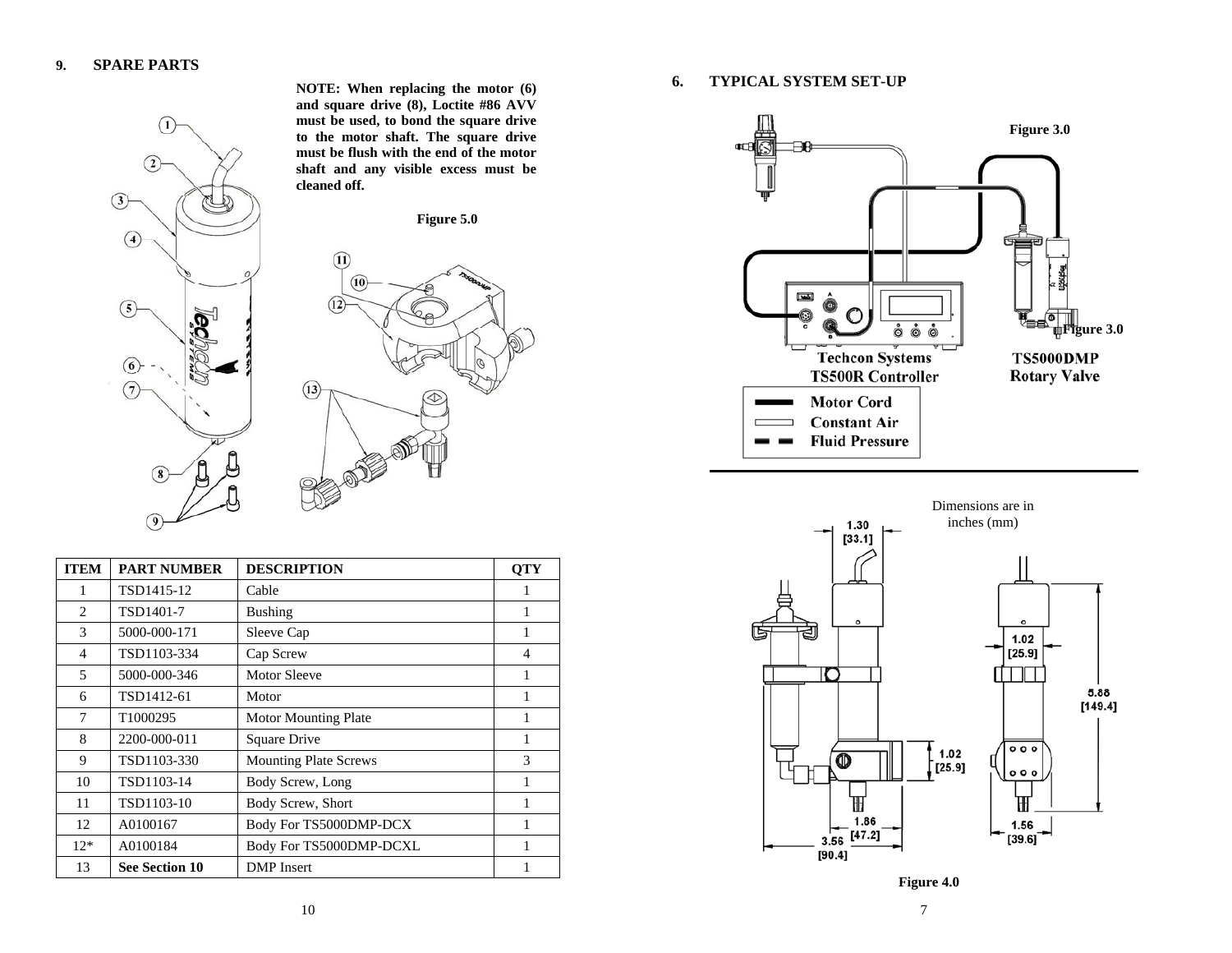

**NOTE: When replacing the motor (6) and square drive (8), Loctite #86 AVV must be used, to bond the square drive to the motor shaft. The square drive must be flush with the end of the motor shaft and any visible excess must be cleaned off.** 



| <b>ITEM</b>    | <b>PART NUMBER</b>    | <b>DESCRIPTION</b>           | <b>OTY</b> |
|----------------|-----------------------|------------------------------|------------|
| 1              | TSD1415-12            | Cable                        |            |
| 2              | TSD1401-7             | <b>Bushing</b>               | 1          |
| 3              | 5000-000-171          | Sleeve Cap                   | 1          |
| $\overline{4}$ | TSD1103-334           | Cap Screw                    | 4          |
| 5              | 5000-000-346          | <b>Motor Sleeve</b>          | 1          |
| 6              | TSD1412-61            | Motor                        | 1          |
| 7              | T1000295              | <b>Motor Mounting Plate</b>  | 1          |
| 8              | 2200-000-011          | Square Drive                 | 1          |
| 9              | TSD1103-330           | <b>Mounting Plate Screws</b> | 3          |
| 10             | TSD1103-14            | Body Screw, Long             | 1          |
| 11             | TSD1103-10            | Body Screw, Short            | 1          |
| 12             | A0100167              | Body For TS5000DMP-DCX       | 1          |
| $12*$          | A0100184              | Body For TS5000DMP-DCXL      | 1          |
| 13             | <b>See Section 10</b> | <b>DMP</b> Insert            |            |

**6.TYPICAL SYSTEM SET-UP** 





**Figure 4.0**